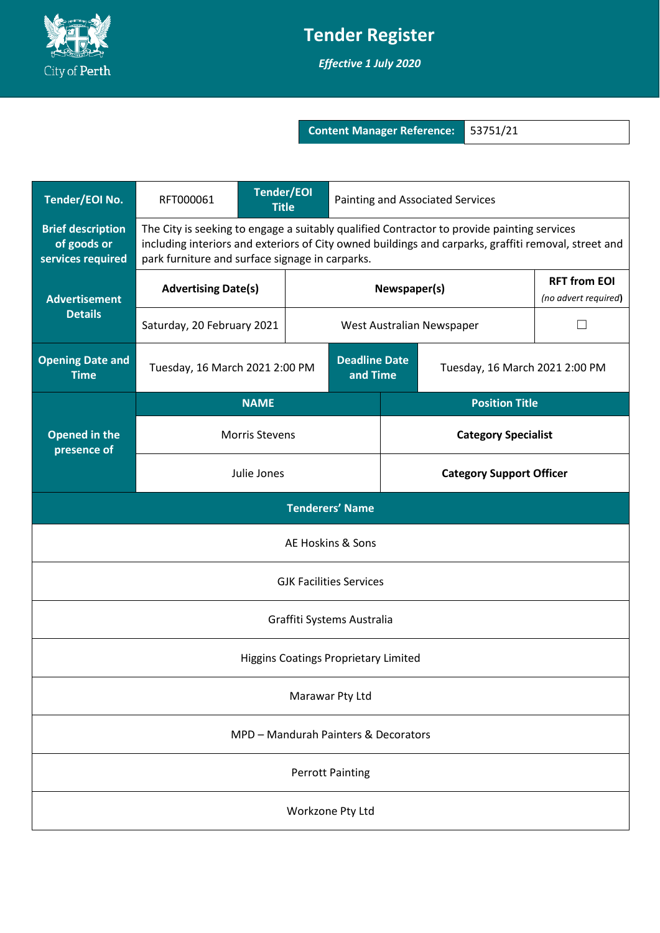

## **Tender Register**

*Effective 1 July 2020*

**Content Manager Reference:** 53751/21

| Tender/EOI No.                                               | RFT000061                                                                                                                                                                                                                                             | <b>Tender/EOI</b><br><b>Title</b> |  | Painting and Associated Services |                                           |                                             |  |
|--------------------------------------------------------------|-------------------------------------------------------------------------------------------------------------------------------------------------------------------------------------------------------------------------------------------------------|-----------------------------------|--|----------------------------------|-------------------------------------------|---------------------------------------------|--|
| <b>Brief description</b><br>of goods or<br>services required | The City is seeking to engage a suitably qualified Contractor to provide painting services<br>including interiors and exteriors of City owned buildings and carparks, graffiti removal, street and<br>park furniture and surface signage in carparks. |                                   |  |                                  |                                           |                                             |  |
| <b>Advertisement</b><br><b>Details</b>                       | <b>Advertising Date(s)</b>                                                                                                                                                                                                                            |                                   |  | Newspaper(s)                     |                                           | <b>RFT from EOI</b><br>(no advert required) |  |
|                                                              | Saturday, 20 February 2021                                                                                                                                                                                                                            |                                   |  |                                  | West Australian Newspaper<br>$\mathsf{L}$ |                                             |  |
| <b>Opening Date and</b><br><b>Time</b>                       | Tuesday, 16 March 2021 2:00 PM                                                                                                                                                                                                                        |                                   |  | <b>Deadline Date</b><br>and Time | Tuesday, 16 March 2021 2:00 PM            |                                             |  |
| <b>Opened in the</b><br>presence of                          | <b>NAME</b>                                                                                                                                                                                                                                           |                                   |  |                                  | <b>Position Title</b>                     |                                             |  |
|                                                              | <b>Morris Stevens</b>                                                                                                                                                                                                                                 |                                   |  |                                  | <b>Category Specialist</b>                |                                             |  |
|                                                              | Julie Jones                                                                                                                                                                                                                                           |                                   |  |                                  | <b>Category Support Officer</b>           |                                             |  |
| <b>Tenderers' Name</b>                                       |                                                                                                                                                                                                                                                       |                                   |  |                                  |                                           |                                             |  |
| AE Hoskins & Sons                                            |                                                                                                                                                                                                                                                       |                                   |  |                                  |                                           |                                             |  |
| <b>GJK Facilities Services</b>                               |                                                                                                                                                                                                                                                       |                                   |  |                                  |                                           |                                             |  |
| Graffiti Systems Australia                                   |                                                                                                                                                                                                                                                       |                                   |  |                                  |                                           |                                             |  |
| Higgins Coatings Proprietary Limited                         |                                                                                                                                                                                                                                                       |                                   |  |                                  |                                           |                                             |  |
| Marawar Pty Ltd                                              |                                                                                                                                                                                                                                                       |                                   |  |                                  |                                           |                                             |  |
| MPD - Mandurah Painters & Decorators                         |                                                                                                                                                                                                                                                       |                                   |  |                                  |                                           |                                             |  |
| <b>Perrott Painting</b>                                      |                                                                                                                                                                                                                                                       |                                   |  |                                  |                                           |                                             |  |
| Workzone Pty Ltd                                             |                                                                                                                                                                                                                                                       |                                   |  |                                  |                                           |                                             |  |